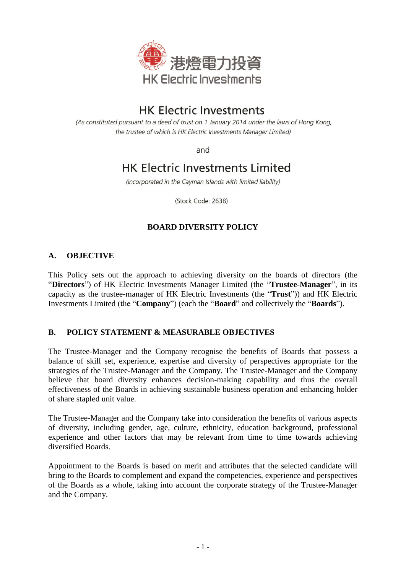

# **HK Electric Investments**

(As constituted pursuant to a deed of trust on 1 January 2014 under the laws of Hong Kong, the trustee of which is HK Electric Investments Manager Limited)

and

# **HK Electric Investments Limited**

(Incorporated in the Cayman Islands with limited liability)

(Stock Code: 2638)

## **BOARD DIVERSITY POLICY**

### **A. OBJECTIVE**

This Policy sets out the approach to achieving diversity on the boards of directors (the "**Directors**") of HK Electric Investments Manager Limited (the "**Trustee-Manager**", in its capacity as the trustee-manager of HK Electric Investments (the "**Trust**")) and HK Electric Investments Limited (the "**Company**") (each the "**Board**" and collectively the "**Boards**").

#### **B. POLICY STATEMENT & MEASURABLE OBJECTIVES**

The Trustee-Manager and the Company recognise the benefits of Boards that possess a balance of skill set, experience, expertise and diversity of perspectives appropriate for the strategies of the Trustee-Manager and the Company. The Trustee-Manager and the Company believe that board diversity enhances decision-making capability and thus the overall effectiveness of the Boards in achieving sustainable business operation and enhancing holder of share stapled unit value.

The Trustee-Manager and the Company take into consideration the benefits of various aspects of diversity, including gender, age, culture, ethnicity, education background, professional experience and other factors that may be relevant from time to time towards achieving diversified Boards.

Appointment to the Boards is based on merit and attributes that the selected candidate will bring to the Boards to complement and expand the competencies, experience and perspectives of the Boards as a whole, taking into account the corporate strategy of the Trustee-Manager and the Company.